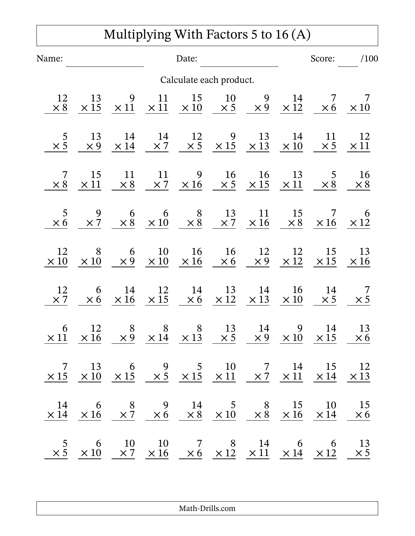## Multiplying With Factors 5 to 16 (A)

| Name:                   |                                                                                                                                                                                                                                                        |                   |                              | Date:                       |                                          |                                          |                             | Score:                                    | /100                       |
|-------------------------|--------------------------------------------------------------------------------------------------------------------------------------------------------------------------------------------------------------------------------------------------------|-------------------|------------------------------|-----------------------------|------------------------------------------|------------------------------------------|-----------------------------|-------------------------------------------|----------------------------|
| Calculate each product. |                                                                                                                                                                                                                                                        |                   |                              |                             |                                          |                                          |                             |                                           |                            |
| 12<br>$\times 8$        | 13<br>$\times 15$                                                                                                                                                                                                                                      | 9<br>$\times$ 11  | 11<br>$\times$ 11            | 15<br>$\times 10$           | 10<br>$\times$ 5                         | 9<br>$\times 9$                          | 14<br>$\times$ 12           | 7<br>$\times 6$                           | 7<br>$\times$ 10           |
| 5<br>$\times$ 5         | 13<br>$\times 9$                                                                                                                                                                                                                                       | 14<br>$\times$ 14 | 14<br>$\times 7$             | 12<br>$\times$ 5            | 9<br>$\times 15$ $\times 13$ $\times 10$ | 13                                       | 14                          | 11                                        | 12<br>$\times 5 \times 11$ |
| 7<br>$\times 8$         | 15<br>$\times$ 11                                                                                                                                                                                                                                      | 11<br>$\times 8$  | 11                           | 9<br>$\times 7$ $\times 16$ | 16                                       | 16<br>$\times 5$ $\times 15$ $\times 11$ | 13                          | 5 <sup>5</sup><br>$\times 8$              | <b>16</b><br>$\times 8$    |
| 5<br>$\times 6$         | 9<br>$\times 7$                                                                                                                                                                                                                                        | 6                 | 6<br>$\times 8$ $\times 10$  | 8<br>$\times 8$             | 13                                       | 11<br>$\times 7$ $\times 16$             | 15<br>$\times 8$            | $\overline{7}$<br>$\times 16$ $\times 12$ | 6                          |
| 12<br>$\times 10$       | 8<br>$\times 10$                                                                                                                                                                                                                                       | 6                 | 10<br>$\times 9$ $\times 10$ | 16<br>$\times 16$           | 16<br>$\times 6$                         | 12<br>$\times$ 9                         | 12<br>$\times 12 \times 15$ | 15                                        | 13<br>$\times 16$          |
| 12<br>$\times 7$        | 6<br>$\times 6$                                                                                                                                                                                                                                        | 14<br>$\times 16$ | 12<br>$\times$ 15            | 14<br>$\times 6$            | 13<br>$\times$ 12                        | 14<br>$\times$ 13                        | 16<br>$\times 10$           | 14<br>$\times$ 5                          | 7<br>$\times$ 5            |
| 6<br>$\times$ 11        | 12<br>$\times 16$                                                                                                                                                                                                                                      | 8<br>$\times 9$   | 8<br>$\times 14$             | 8<br>$\times$ 13            | 13<br>$\times$ 5                         | 14<br>$\times 9$                         | 9<br>$\times 10$            | 14<br>$\times$ 15                         | 13<br>$\times 6$           |
|                         | $\begin{array}{ccccccccc} & 7 & 13 & 6 & 9 & 5 & 10 & 7 & 14 & 15 & 12 \\ \hline \times 15 & \times 10 & \times 15 & \times 5 & \times 15 & \times 11 & \times 7 & \times 11 & \times 14 & \times 13 \\ \end{array}$                                   |                   |                              |                             |                                          |                                          |                             |                                           |                            |
|                         | $\begin{array}{ccccccccccccc} & 14 & & 6 & & 8 & & 9 & & 14 & & 5 & & 8 & & 15 & & 10 & & 15 \\ \hline \times 14 & & \times 16 & & \times 7 & & \times 6 & & \times 8 & & \times 10 & & \times 8 & & \times 16 & & \times 14 & & \times 6 \end{array}$ |                   |                              |                             |                                          |                                          |                             |                                           |                            |
|                         | $\begin{array}{ccccccccc} & 5 & & 6 & & 10 & & 10 & & 7 & & 8 & & 14 & & 6 & & 6 & & 13 \\ \times 5 & \times 10 & & \times 7 & \times 16 & & \times 6 & \times 12 & \times 11 & \times 14 & \times 12 & & \times 5 \end{array}$                        |                   |                              |                             |                                          |                                          |                             |                                           |                            |

Math-Drills.com